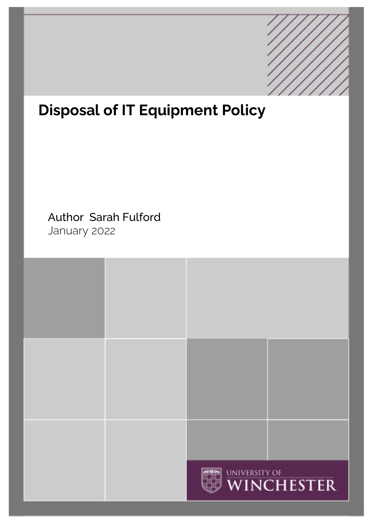

# **Disposal of IT Equipment Policy**

# Author Sarah Fulford January 2022

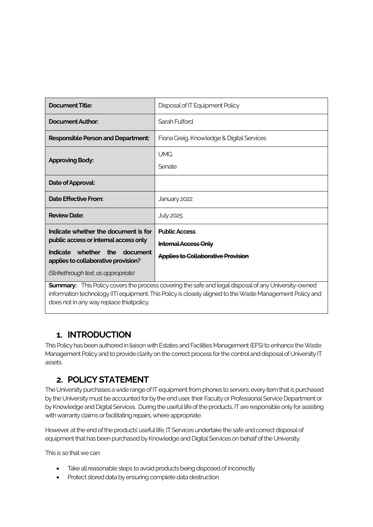| Document Title:                                                                                                                                                                                  | Disposal of IT Equipment Policy                                                                  |
|--------------------------------------------------------------------------------------------------------------------------------------------------------------------------------------------------|--------------------------------------------------------------------------------------------------|
| Document Author:                                                                                                                                                                                 | Sarah Fulford                                                                                    |
| <b>Responsible Person and Department:</b>                                                                                                                                                        | Fiona Greig, Knowledge & Digital Services                                                        |
| <b>Approving Body:</b>                                                                                                                                                                           | <b>UMG</b><br>Senate                                                                             |
| Date of Approval:                                                                                                                                                                                |                                                                                                  |
| Date Effective From:                                                                                                                                                                             | January 2022                                                                                     |
| <b>Review Date:</b>                                                                                                                                                                              | <b>July 2025</b>                                                                                 |
| Indicate whether the document is for<br>public access or internal access only<br>Indicate whether<br>the document<br>applies to collaborative provision?<br>(Strikethrough text, as appropriate) | <b>Public Access</b><br><b>Internal Access Only</b><br><b>Applies to Collaborative Provision</b> |
| <b>Summary:</b> This Policy covers the process covering the safe and legal disposal of any University-owned                                                                                      |                                                                                                  |

information technology (IT) equipment. This Policy is closely aligned to the Waste Management Policy and does not in any way replace thiatpolicy.

#### **1. INTRODUCTION**

This Policy has been authored in liaison with Estates and Facilities Management (EFS) to enhance the Waste Management Policy and to provide clarity on the correct process for the control and disposal of University IT assets.

#### **2. POLICY STATEMENT**

The University purchases a wide range of IT equipment from phones to servers; every item that is purchased by the University must be accounted for by the end user, their Faculty or Professional Service Department or by Knowledge and Digital Services. During the useful life of the products, IT are responsible only for assisting with warranty claims or facilitating repairs, where appropriate.

However, at the end of the products' useful life, IT Services undertake the safe and correct disposal of equipment that has been purchased by Knowledge and Digital Services on behalf of the University.

This is so that we can:

- Take all reasonable steps to avoid products being disposed of incorrectly
- Protect stored data by ensuring complete data destruction